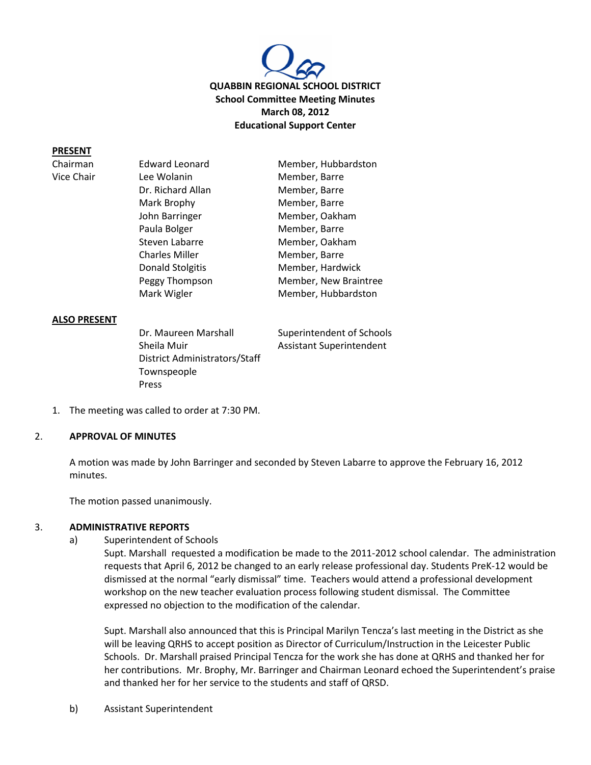

## **PRESENT**

Chairman Vice Chair

| <b>Edward Leonard</b>   | Member, Hubbardston   |
|-------------------------|-----------------------|
| Lee Wolanin             | Member, Barre         |
| Dr. Richard Allan       | Member, Barre         |
| Mark Brophy             | Member, Barre         |
| John Barringer          | Member, Oakham        |
| Paula Bolger            | Member, Barre         |
| Steven Labarre          | Member, Oakham        |
| <b>Charles Miller</b>   | Member, Barre         |
| <b>Donald Stolgitis</b> | Member, Hardwick      |
| Peggy Thompson          | Member, New Braintree |
| Mark Wigler             | Member, Hubbardston   |
|                         |                       |

#### **ALSO PRESENT**

Dr. Maureen Marshall Superintendent of Schools Sheila Muir **Assistant Superintendent** District Administrators/Staff Townspeople Press

1. The meeting was called to order at 7:30 PM.

#### 2. **APPROVAL OF MINUTES**

A motion was made by John Barringer and seconded by Steven Labarre to approve the February 16, 2012 minutes.

The motion passed unanimously.

### 3. **ADMINISTRATIVE REPORTS**

a) Superintendent of Schools

Supt. Marshall requested a modification be made to the 2011-2012 school calendar. The administration requests that April 6, 2012 be changed to an early release professional day. Students PreK-12 would be dismissed at the normal "early dismissal" time. Teachers would attend a professional development workshop on the new teacher evaluation process following student dismissal. The Committee expressed no objection to the modification of the calendar.

Supt. Marshall also announced that this is Principal Marilyn Tencza's last meeting in the District as she will be leaving QRHS to accept position as Director of Curriculum/Instruction in the Leicester Public Schools. Dr. Marshall praised Principal Tencza for the work she has done at QRHS and thanked her for her contributions. Mr. Brophy, Mr. Barringer and Chairman Leonard echoed the Superintendent's praise and thanked her for her service to the students and staff of QRSD.

b) Assistant Superintendent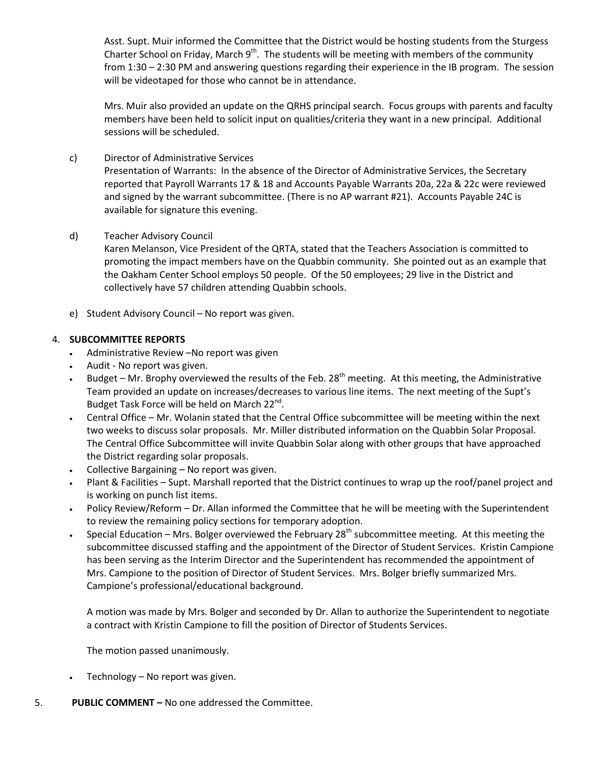Asst. Supt. Muir informed the Committee that the District would be hosting students from the Sturgess Charter School on Friday, March  $9<sup>th</sup>$ . The students will be meeting with members of the community from 1:30 – 2:30 PM and answering questions regarding their experience in the IB program. The session will be videotaped for those who cannot be in attendance.

Mrs. Muir also provided an update on the QRHS principal search. Focus groups with parents and faculty members have been held to solicit input on qualities/criteria they want in a new principal. Additional sessions will be scheduled.

c) Director of Administrative Services

Presentation of Warrants: In the absence of the Director of Administrative Services, the Secretary reported that Payroll Warrants 17 & 18 and Accounts Payable Warrants 20a, 22a & 22c were reviewed and signed by the warrant subcommittee. (There is no AP warrant #21). Accounts Payable 24C is available for signature this evening.

d) Teacher Advisory Council

Karen Melanson, Vice President of the QRTA, stated that the Teachers Association is committed to promoting the impact members have on the Quabbin community. She pointed out as an example that the Oakham Center School employs 50 people. Of the 50 employees; 29 live in the District and collectively have 57 children attending Quabbin schools.

e) Student Advisory Council – No report was given.

# 4. **SUBCOMMITTEE REPORTS**

- Administrative Review –No report was given
- Audit No report was given.
- Budget Mr. Brophy overviewed the results of the Feb.  $28<sup>th</sup>$  meeting. At this meeting, the Administrative Team provided an update on increases/decreases to various line items. The next meeting of the Supt's Budget Task Force will be held on March 22<sup>nd</sup>.
- Central Office Mr. Wolanin stated that the Central Office subcommittee will be meeting within the next two weeks to discuss solar proposals. Mr. Miller distributed information on the Quabbin Solar Proposal. The Central Office Subcommittee will invite Quabbin Solar along with other groups that have approached the District regarding solar proposals.
- Collective Bargaining No report was given.
- Plant & Facilities Supt. Marshall reported that the District continues to wrap up the roof/panel project and is working on punch list items.
- Policy Review/Reform Dr. Allan informed the Committee that he will be meeting with the Superintendent to review the remaining policy sections for temporary adoption.
- Special Education Mrs. Bolger overviewed the February 28<sup>th</sup> subcommittee meeting. At this meeting the subcommittee discussed staffing and the appointment of the Director of Student Services. Kristin Campione has been serving as the Interim Director and the Superintendent has recommended the appointment of Mrs. Campione to the position of Director of Student Services. Mrs. Bolger briefly summarized Mrs. Campione's professional/educational background.

A motion was made by Mrs. Bolger and seconded by Dr. Allan to authorize the Superintendent to negotiate a contract with Kristin Campione to fill the position of Director of Students Services.

The motion passed unanimously.

- Technology No report was given.
- 5. **PUBLIC COMMENT –** No one addressed the Committee.